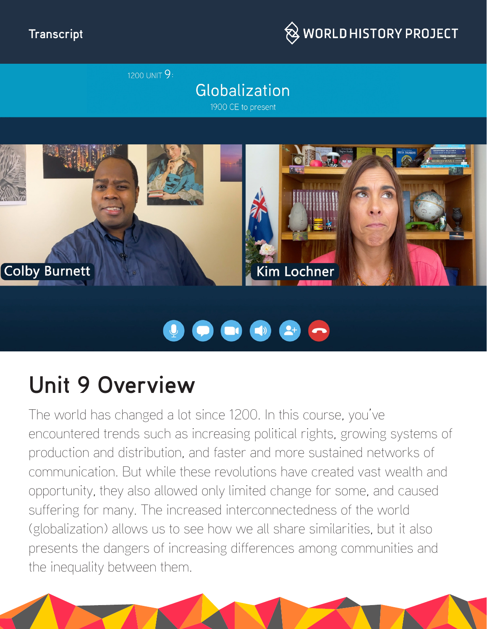#### **Transcript**



1200 UNIT 9:

## Globalization

1900 CE to present



# 

## **Unit 9 Overview**

The world has changed a lot since 1200. In this course, you've encountered trends such as increasing political rights, growing systems of production and distribution, and faster and more sustained networks of communication. But while these revolutions have created vast wealth and opportunity, they also allowed only limited change for some, and caused suffering for many. The increased interconnectedness of the world (globalization) allows us to see how we all share similarities, but it also presents the dangers of increasing differences among communities and the inequality between them.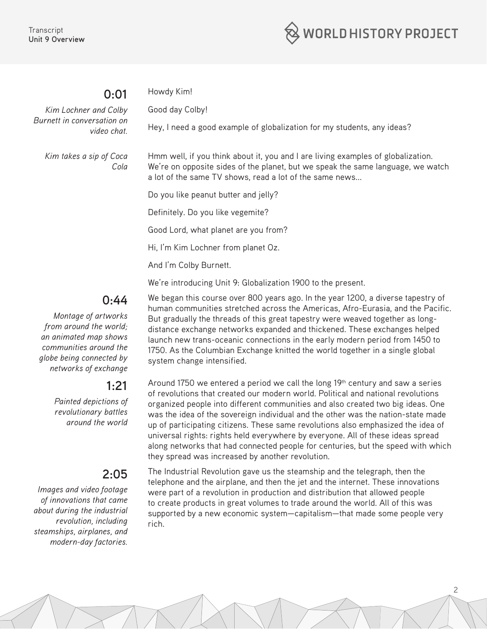

#### **0:01**

Howdy Kim!

Good day Colby!

*Kim Lochner and Colby Burnett in conversation on video chat.*

Hey, I need a good example of globalization for my students, any ideas?

*Kim takes a sip of Coca Cola* Hmm well, if you think about it, you and I are living examples of globalization. We're on opposite sides of the planet, but we speak the same language, we watch a lot of the same TV shows, read a lot of the same news...

Do you like peanut butter and jelly?

Definitely. Do you like vegemite?

Good Lord, what planet are you from?

Hi, I'm Kim Lochner from planet Oz.

And I'm Colby Burnett.

We're introducing Unit 9: Globalization 1900 to the present.

## **0:44**

*Montage of artworks from around the world; an animated map shows communities around the globe being connected by networks of exchange* 

#### **1:21**

*Painted depictions of revolutionary battles around the world*

## **2:05**

*Images and video footage of innovations that came about during the industrial revolution, including steamships, airplanes, and modern-day factories.*

We began this course over 800 years ago. In the year 1200, a diverse tapestry of human communities stretched across the Americas, Afro-Eurasia, and the Pacific. But gradually the threads of this great tapestry were weaved together as longdistance exchange networks expanded and thickened. These exchanges helped launch new trans-oceanic connections in the early modern period from 1450 to 1750. As the Columbian Exchange knitted the world together in a single global system change intensified.

Around 1750 we entered a period we call the long  $19<sup>th</sup>$  century and saw a series of revolutions that created our modern world. Political and national revolutions organized people into different communities and also created two big ideas. One was the idea of the sovereign individual and the other was the nation-state made up of participating citizens. These same revolutions also emphasized the idea of universal rights: rights held everywhere by everyone. All of these ideas spread along networks that had connected people for centuries, but the speed with which they spread was increased by another revolution.

The Industrial Revolution gave us the steamship and the telegraph, then the telephone and the airplane, and then the jet and the internet. These innovations were part of a revolution in production and distribution that allowed people to create products in great volumes to trade around the world. All of this was supported by a new economic system—capitalism—that made some people very rich.

2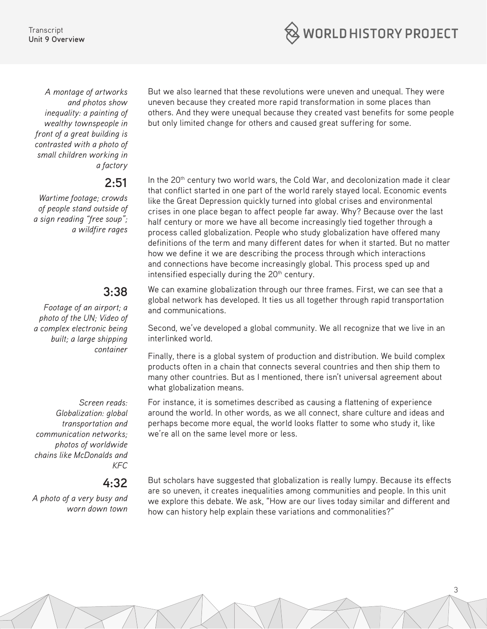**WORLD HISTORY PROJECT** 

**Transcript Unit 9 Overview**

*A montage of artworks and photos show inequality: a painting of wealthy townspeople in front of a great building is contrasted with a photo of small children working in a factory*

#### **2:51**

*Wartime footage; crowds of people stand outside of a sign reading "free soup"; a wildfire rages*

## **3:38**

*Footage of an airport; a photo of the UN; Video of a complex electronic being built; a large shipping container*

*Screen reads: Globalization: global transportation and communication networks; photos of worldwide chains like McDonalds and KFC*

#### **4:32**

*A photo of a very busy and worn down town*

But we also learned that these revolutions were uneven and unequal. They were uneven because they created more rapid transformation in some places than others. And they were unequal because they created vast benefits for some people but only limited change for others and caused great suffering for some.

In the 20<sup>th</sup> century two world wars, the Cold War, and decolonization made it clear that conflict started in one part of the world rarely stayed local. Economic events like the Great Depression quickly turned into global crises and environmental crises in one place began to affect people far away. Why? Because over the last half century or more we have all become increasingly tied together through a process called globalization. People who study globalization have offered many definitions of the term and many different dates for when it started. But no matter how we define it we are describing the process through which interactions and connections have become increasingly global. This process sped up and intensified especially during the 20<sup>th</sup> century.

We can examine globalization through our three frames. First, we can see that a global network has developed. It ties us all together through rapid transportation and communications.

Second, we've developed a global community. We all recognize that we live in an interlinked world.

Finally, there is a global system of production and distribution. We build complex products often in a chain that connects several countries and then ship them to many other countries. But as I mentioned, there isn't universal agreement about what globalization means.

For instance, it is sometimes described as causing a flattening of experience around the world. In other words, as we all connect, share culture and ideas and perhaps become more equal, the world looks flatter to some who study it, like we're all on the same level more or less.

But scholars have suggested that globalization is really lumpy. Because its effects are so uneven, it creates inequalities among communities and people. In this unit we explore this debate. We ask, "How are our lives today similar and different and how can history help explain these variations and commonalities?"

3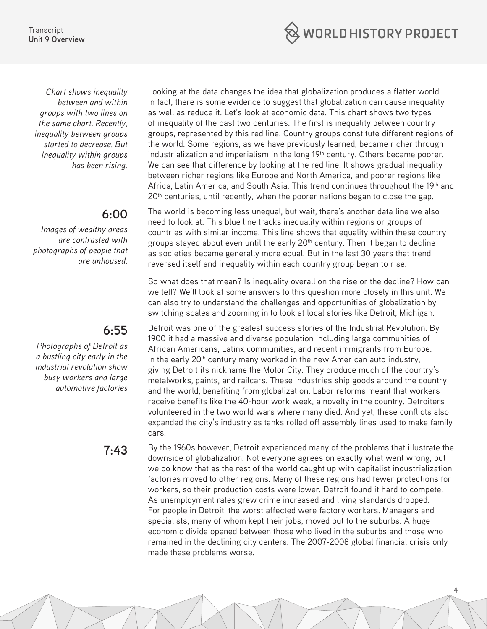

*Chart shows inequality between and within groups with two lines on the same chart. Recently, inequality between groups started to decrease. But Inequality within groups has been rising.*

## **6:00**

*Images of wealthy areas are contrasted with photographs of people that are unhoused.*

## **6:55**

*Photographs of Detroit as a bustling city early in the industrial revolution show busy workers and large automotive factories*

Looking at the data changes the idea that globalization produces a flatter world. In fact, there is some evidence to suggest that globalization can cause inequality as well as reduce it. Let's look at economic data. This chart shows two types of inequality of the past two centuries. The first is inequality between country groups, represented by this red line. Country groups constitute different regions of the world. Some regions, as we have previously learned, became richer through industrialization and imperialism in the long 19<sup>th</sup> century. Others became poorer. We can see that difference by looking at the red line. It shows gradual inequality between richer regions like Europe and North America, and poorer regions like Africa, Latin America, and South Asia. This trend continues throughout the 19<sup>th</sup> and 20<sup>th</sup> centuries, until recently, when the poorer nations began to close the gap.

The world is becoming less unequal, but wait, there's another data line we also need to look at. This blue line tracks inequality within regions or groups of countries with similar income. This line shows that equality within these country groups stayed about even until the early  $20<sup>th</sup>$  century. Then it began to decline as societies became generally more equal. But in the last 30 years that trend reversed itself and inequality within each country group began to rise.

So what does that mean? Is inequality overall on the rise or the decline? How can we tell? We'll look at some answers to this question more closely in this unit. We can also try to understand the challenges and opportunities of globalization by switching scales and zooming in to look at local stories like Detroit, Michigan.

Detroit was one of the greatest success stories of the Industrial Revolution. By 1900 it had a massive and diverse population including large communities of African Americans, Latinx communities, and recent immigrants from Europe. In the early 20<sup>th</sup> century many worked in the new American auto industry, giving Detroit its nickname the Motor City. They produce much of the country's metalworks, paints, and railcars. These industries ship goods around the country and the world, benefiting from globalization. Labor reforms meant that workers receive benefits like the 40-hour work week, a novelty in the country. Detroiters volunteered in the two world wars where many died. And yet, these conflicts also expanded the city's industry as tanks rolled off assembly lines used to make family cars.

**7:43** By the 1960s however, Detroit experienced many of the problems that illustrate the downside of globalization. Not everyone agrees on exactly what went wrong, but we do know that as the rest of the world caught up with capitalist industrialization, factories moved to other regions. Many of these regions had fewer protections for workers, so their production costs were lower. Detroit found it hard to compete. As unemployment rates grew crime increased and living standards dropped. For people in Detroit, the worst affected were factory workers. Managers and specialists, many of whom kept their jobs, moved out to the suburbs. A huge economic divide opened between those who lived in the suburbs and those who remained in the declining city centers. The 2007-2008 global financial crisis only made these problems worse.

4